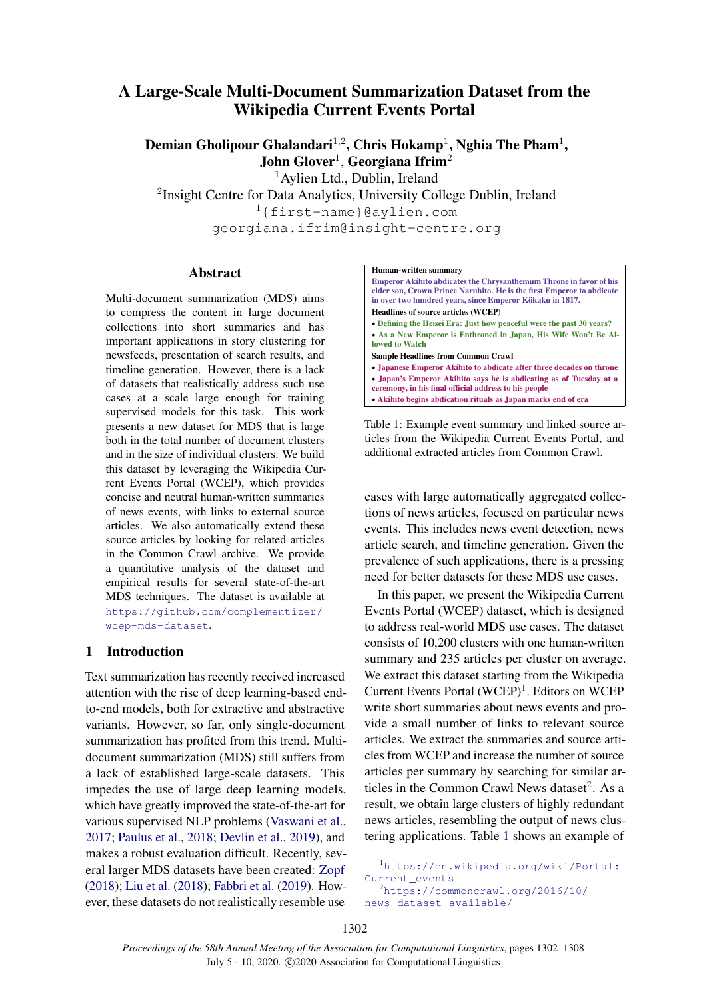# A Large-Scale Multi-Document Summarization Dataset from the Wikipedia Current Events Portal

Demian Gholipour Ghalandari $^{1,2}$ , Chris Hokamp $^{1}$ , Nghia The Pham $^{1},$ John Glover<sup>1</sup>, Georgiana Ifrim<sup>2</sup>

<sup>1</sup> Aylien Ltd., Dublin, Ireland

<sup>2</sup>Insight Centre for Data Analytics, University College Dublin, Ireland <sup>1</sup>{first-name}@aylien.com

georgiana.ifrim@insight-centre.org

## Abstract

Multi-document summarization (MDS) aims to compress the content in large document collections into short summaries and has important applications in story clustering for newsfeeds, presentation of search results, and timeline generation. However, there is a lack of datasets that realistically address such use cases at a scale large enough for training supervised models for this task. This work presents a new dataset for MDS that is large both in the total number of document clusters and in the size of individual clusters. We build this dataset by leveraging the Wikipedia Current Events Portal (WCEP), which provides concise and neutral human-written summaries of news events, with links to external source articles. We also automatically extend these source articles by looking for related articles in the Common Crawl archive. We provide a quantitative analysis of the dataset and empirical results for several state-of-the-art MDS techniques. The dataset is available at [https://github.com/complementizer/](https://github.com/complementizer/wcep-mds-dataset) [wcep-mds-dataset](https://github.com/complementizer/wcep-mds-dataset).

# 1 Introduction

Text summarization has recently received increased attention with the rise of deep learning-based endto-end models, both for extractive and abstractive variants. However, so far, only single-document summarization has profited from this trend. Multidocument summarization (MDS) still suffers from a lack of established large-scale datasets. This impedes the use of large deep learning models, which have greatly improved the state-of-the-art for various supervised NLP problems [\(Vaswani et al.,](#page-6-0) [2017;](#page-6-0) [Paulus et al.,](#page-5-0) [2018;](#page-5-0) [Devlin et al.,](#page-5-1) [2019\)](#page-5-1), and makes a robust evaluation difficult. Recently, several larger MDS datasets have been created: [Zopf](#page-6-1) [\(2018\)](#page-6-1); [Liu et al.](#page-5-2) [\(2018\)](#page-5-2); [Fabbri et al.](#page-5-3) [\(2019\)](#page-5-3). However, these datasets do not realistically resemble use

<span id="page-0-2"></span>

Table 1: Example event summary and linked source articles from the Wikipedia Current Events Portal, and additional extracted articles from Common Crawl.

cases with large automatically aggregated collections of news articles, focused on particular news events. This includes news event detection, news article search, and timeline generation. Given the prevalence of such applications, there is a pressing need for better datasets for these MDS use cases.

In this paper, we present the Wikipedia Current Events Portal (WCEP) dataset, which is designed to address real-world MDS use cases. The dataset consists of 10,200 clusters with one human-written summary and 235 articles per cluster on average. We extract this dataset starting from the Wikipedia Current Events Portal (WCEP)<sup>[1](#page-0-0)</sup>. Editors on WCEP write short summaries about news events and provide a small number of links to relevant source articles. We extract the summaries and source articles from WCEP and increase the number of source articles per summary by searching for similar articles in the Common Crawl News dataset $2$ . As a result, we obtain large clusters of highly redundant news articles, resembling the output of news clustering applications. Table [1](#page-0-2) shows an example of

<span id="page-0-0"></span><sup>1</sup>[https://en.wikipedia.org/wiki/Portal:](https://en.wikipedia.org/wiki/Portal:Current_events) [Current\\_events](https://en.wikipedia.org/wiki/Portal:Current_events) <sup>2</sup>[https://commoncrawl.org/2016/10/](https://commoncrawl.org/2016/10/news-dataset-available/)

<span id="page-0-1"></span>[news-dataset-available/](https://commoncrawl.org/2016/10/news-dataset-available/)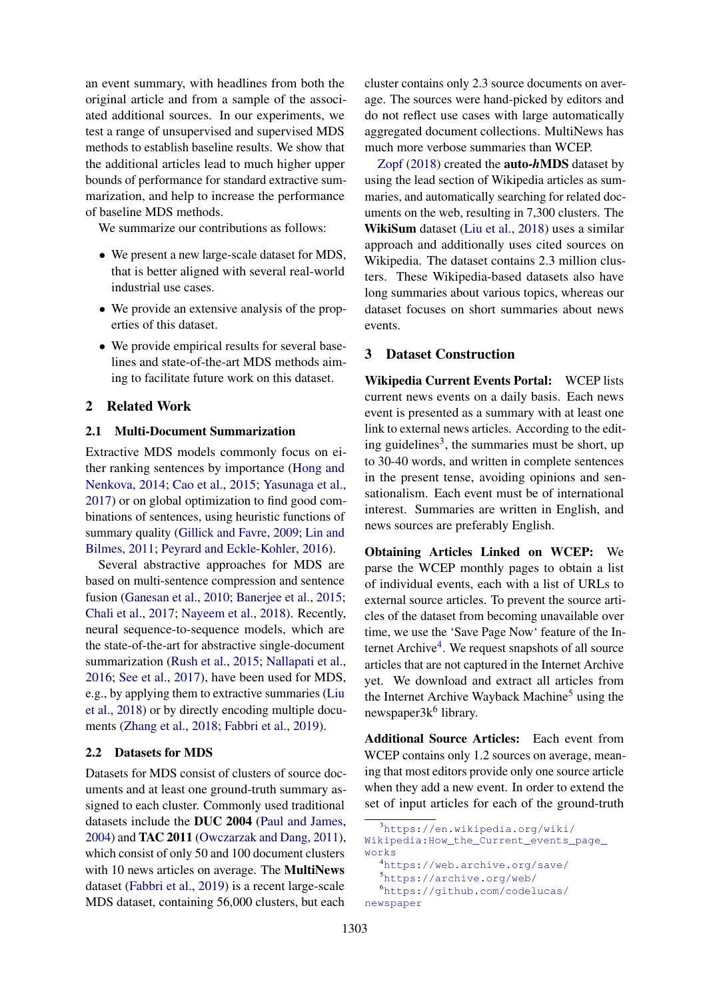an event summary, with headlines from both the original article and from a sample of the associated additional sources. In our experiments, we test a range of unsupervised and supervised MDS methods to establish baseline results. We show that the additional articles lead to much higher upper bounds of performance for standard extractive summarization, and help to increase the performance of baseline MDS methods.

We summarize our contributions as follows:

- We present a new large-scale dataset for MDS, that is better aligned with several real-world industrial use cases.
- We provide an extensive analysis of the properties of this dataset.
- We provide empirical results for several baselines and state-of-the-art MDS methods aiming to facilitate future work on this dataset.

## 2 Related Work

## 2.1 Multi-Document Summarization

Extractive MDS models commonly focus on either ranking sentences by importance [\(Hong and](#page-5-4) [Nenkova,](#page-5-4) [2014;](#page-5-4) [Cao et al.,](#page-5-5) [2015;](#page-5-5) [Yasunaga et al.,](#page-6-2) [2017\)](#page-6-2) or on global optimization to find good combinations of sentences, using heuristic functions of summary quality [\(Gillick and Favre,](#page-5-6) [2009;](#page-5-6) [Lin and](#page-5-7) [Bilmes,](#page-5-7) [2011;](#page-5-7) [Peyrard and Eckle-Kohler,](#page-5-8) [2016\)](#page-5-8).

Several abstractive approaches for MDS are based on multi-sentence compression and sentence fusion [\(Ganesan et al.,](#page-5-9) [2010;](#page-5-9) [Banerjee et al.,](#page-5-10) [2015;](#page-5-10) [Chali et al.,](#page-5-11) [2017;](#page-5-11) [Nayeem et al.,](#page-5-12) [2018\)](#page-5-12). Recently, neural sequence-to-sequence models, which are the state-of-the-art for abstractive single-document summarization [\(Rush et al.,](#page-6-3) [2015;](#page-6-3) [Nallapati et al.,](#page-5-13) [2016;](#page-5-13) [See et al.,](#page-6-4) [2017\)](#page-6-4), have been used for MDS, e.g., by applying them to extractive summaries [\(Liu](#page-5-2) [et al.,](#page-5-2) [2018\)](#page-5-2) or by directly encoding multiple documents [\(Zhang et al.,](#page-6-5) [2018;](#page-6-5) [Fabbri et al.,](#page-5-3) [2019\)](#page-5-3).

#### 2.2 Datasets for MDS

Datasets for MDS consist of clusters of source documents and at least one ground-truth summary assigned to each cluster. Commonly used traditional datasets include the DUC 2004 [\(Paul and James,](#page-5-14) [2004\)](#page-5-14) and TAC 2011 [\(Owczarzak and Dang,](#page-5-15) [2011\)](#page-5-15), which consist of only 50 and 100 document clusters with 10 news articles on average. The **MultiNews** dataset [\(Fabbri et al.,](#page-5-3) [2019\)](#page-5-3) is a recent large-scale MDS dataset, containing 56,000 clusters, but each

cluster contains only 2.3 source documents on average. The sources were hand-picked by editors and do not reflect use cases with large automatically aggregated document collections. MultiNews has much more verbose summaries than WCEP.

[Zopf](#page-6-1) [\(2018\)](#page-6-1) created the auto-*h*MDS dataset by using the lead section of Wikipedia articles as summaries, and automatically searching for related documents on the web, resulting in 7,300 clusters. The WikiSum dataset [\(Liu et al.,](#page-5-2) [2018\)](#page-5-2) uses a similar approach and additionally uses cited sources on Wikipedia. The dataset contains 2.3 million clusters. These Wikipedia-based datasets also have long summaries about various topics, whereas our dataset focuses on short summaries about news events.

#### 3 Dataset Construction

Wikipedia Current Events Portal: WCEP lists current news events on a daily basis. Each news event is presented as a summary with at least one link to external news articles. According to the edit-ing guidelines<sup>[3](#page-1-0)</sup>, the summaries must be short, up to 30-40 words, and written in complete sentences in the present tense, avoiding opinions and sensationalism. Each event must be of international interest. Summaries are written in English, and news sources are preferably English.

Obtaining Articles Linked on WCEP: We parse the WCEP monthly pages to obtain a list of individual events, each with a list of URLs to external source articles. To prevent the source articles of the dataset from becoming unavailable over time, we use the 'Save Page Now' feature of the In-ternet Archive<sup>[4](#page-1-1)</sup>. We request snapshots of all source articles that are not captured in the Internet Archive yet. We download and extract all articles from the Internet Archive Wayback Machine<sup>[5](#page-1-2)</sup> using the newspaper3k<sup>[6](#page-1-3)</sup> library.

Additional Source Articles: Each event from WCEP contains only 1.2 sources on average, meaning that most editors provide only one source article when they add a new event. In order to extend the set of input articles for each of the ground-truth

<span id="page-1-0"></span><sup>3</sup>[https://en.wikipedia.org/wiki/](https://en.wikipedia.org/wiki/Wikipedia:How_the_Current_events_page_works)

[Wikipedia:How\\_the\\_Current\\_events\\_page\\_](https://en.wikipedia.org/wiki/Wikipedia:How_the_Current_events_page_works) [works](https://en.wikipedia.org/wiki/Wikipedia:How_the_Current_events_page_works)

<span id="page-1-3"></span><span id="page-1-2"></span><span id="page-1-1"></span><sup>4</sup><https://web.archive.org/save/> <sup>5</sup><https://archive.org/web/> <sup>6</sup>[https://github.com/codelucas/](https://github.com/codelucas/newspaper) [newspaper](https://github.com/codelucas/newspaper)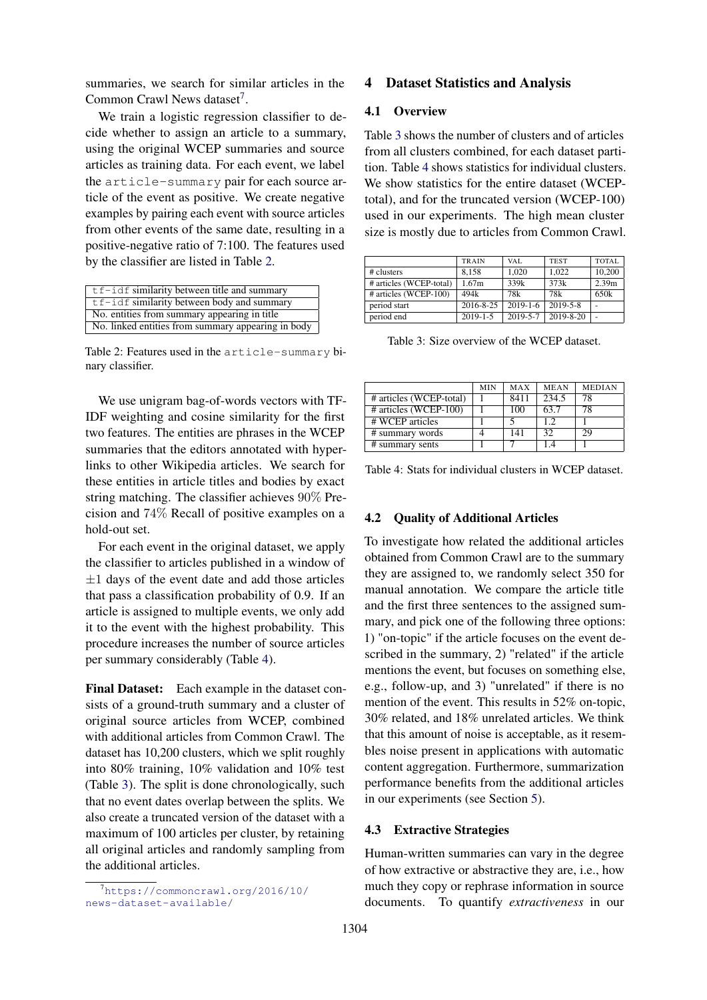summaries, we search for similar articles in the Common Crawl News dataset<sup>[7](#page-2-0)</sup>.

We train a logistic regression classifier to decide whether to assign an article to a summary, using the original WCEP summaries and source articles as training data. For each event, we label the article-summary pair for each source article of the event as positive. We create negative examples by pairing each event with source articles from other events of the same date, resulting in a positive-negative ratio of 7:100. The features used by the classifier are listed in Table [2.](#page-2-1)

<span id="page-2-1"></span>

| $tf - idf$ similarity between title and summary    |
|----------------------------------------------------|
| $tf - idf$ similarity between body and summary     |
| No. entities from summary appearing in title.      |
| No. linked entities from summary appearing in body |

Table 2: Features used in the article-summary binary classifier.

We use unigram bag-of-words vectors with TF-IDF weighting and cosine similarity for the first two features. The entities are phrases in the WCEP summaries that the editors annotated with hyperlinks to other Wikipedia articles. We search for these entities in article titles and bodies by exact string matching. The classifier achieves 90% Precision and 74% Recall of positive examples on a hold-out set.

For each event in the original dataset, we apply the classifier to articles published in a window of  $\pm 1$  days of the event date and add those articles that pass a classification probability of 0.9. If an article is assigned to multiple events, we only add it to the event with the highest probability. This procedure increases the number of source articles per summary considerably (Table [4\)](#page-2-2).

Final Dataset: Each example in the dataset consists of a ground-truth summary and a cluster of original source articles from WCEP, combined with additional articles from Common Crawl. The dataset has 10,200 clusters, which we split roughly into 80% training, 10% validation and 10% test (Table [3\)](#page-2-3). The split is done chronologically, such that no event dates overlap between the splits. We also create a truncated version of the dataset with a maximum of 100 articles per cluster, by retaining all original articles and randomly sampling from the additional articles.

## 4 Dataset Statistics and Analysis

## 4.1 Overview

Table [3](#page-2-3) shows the number of clusters and of articles from all clusters combined, for each dataset partition. Table [4](#page-2-2) shows statistics for individual clusters. We show statistics for the entire dataset (WCEPtotal), and for the truncated version (WCEP-100) used in our experiments. The high mean cluster size is mostly due to articles from Common Crawl.

<span id="page-2-3"></span>

|                         | <b>TRAIN</b>   | VAL.           | <b>TEST</b>    | <b>TOTAL</b>      |
|-------------------------|----------------|----------------|----------------|-------------------|
| # clusters              | 8.158          | 1.020          | 1.022          | 10.200            |
| # articles (WCEP-total) | 1.67m          | 339k           | 373k           | 2.39 <sub>m</sub> |
| # articles (WCEP-100)   | 494k           | 78k            | 78k            | 650k              |
| period start            | 2016-8-25      | $2019 - 1 - 6$ | $2019 - 5 - 8$ |                   |
| period end              | $2019 - 1 - 5$ | 2019-5-7       | 2019-8-20      |                   |
|                         |                |                |                |                   |

Table 3: Size overview of the WCEP dataset.

<span id="page-2-2"></span>

|                               | <b>MIN</b> | MAX  | <b>MEAN</b> | <b>MEDIAN</b> |
|-------------------------------|------------|------|-------------|---------------|
| # articles (WCEP-total)       |            | 8411 | 234.5       | 78            |
| # articles (WCEP-100)         |            | 100  | 63.7        | 78            |
| $# \overline{W}$ CEP articles |            |      | 1.2.        |               |
| # summary words               |            | 141  | 32          | 29            |
| # summary sents               |            |      |             |               |

Table 4: Stats for individual clusters in WCEP dataset.

#### 4.2 Quality of Additional Articles

To investigate how related the additional articles obtained from Common Crawl are to the summary they are assigned to, we randomly select 350 for manual annotation. We compare the article title and the first three sentences to the assigned summary, and pick one of the following three options: 1) "on-topic" if the article focuses on the event described in the summary, 2) "related" if the article mentions the event, but focuses on something else, e.g., follow-up, and 3) "unrelated" if there is no mention of the event. This results in 52% on-topic, 30% related, and 18% unrelated articles. We think that this amount of noise is acceptable, as it resembles noise present in applications with automatic content aggregation. Furthermore, summarization performance benefits from the additional articles in our experiments (see Section [5\)](#page-3-0).

#### 4.3 Extractive Strategies

Human-written summaries can vary in the degree of how extractive or abstractive they are, i.e., how much they copy or rephrase information in source documents. To quantify *extractiveness* in our

<span id="page-2-0"></span> $^7$ [https://commoncrawl.org/2016/10/](https://commoncrawl.org/2016/10/news-dataset-available/) [news-dataset-available/](https://commoncrawl.org/2016/10/news-dataset-available/)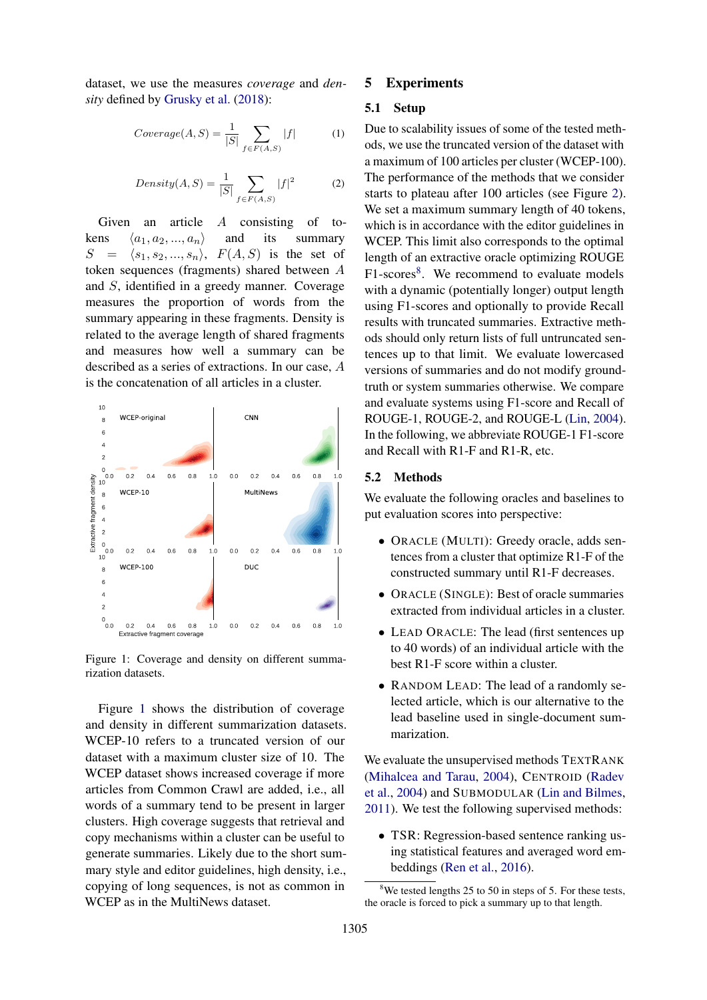dataset, we use the measures *coverage* and *density* defined by [Grusky et al.](#page-5-16) [\(2018\)](#page-5-16):

$$
Coverage(A, S) = \frac{1}{|S|} \sum_{f \in F(A, S)} |f| \tag{1}
$$

$$
Density(A, S) = \frac{1}{|S|} \sum_{f \in F(A, S)} |f|^2 \tag{2}
$$

Given an article A consisting of tokens  $\langle a_1, a_2, ..., a_n \rangle$  and its summary  $S = \langle s_1, s_2, ..., s_n \rangle$ ,  $F(A, S)$  is the set of token sequences (fragments) shared between A and S, identified in a greedy manner. Coverage measures the proportion of words from the summary appearing in these fragments. Density is related to the average length of shared fragments and measures how well a summary can be described as a series of extractions. In our case, A is the concatenation of all articles in a cluster.

<span id="page-3-1"></span>

Figure 1: Coverage and density on different summarization datasets.

Figure [1](#page-3-1) shows the distribution of coverage and density in different summarization datasets. WCEP-10 refers to a truncated version of our dataset with a maximum cluster size of 10. The WCEP dataset shows increased coverage if more articles from Common Crawl are added, i.e., all words of a summary tend to be present in larger clusters. High coverage suggests that retrieval and copy mechanisms within a cluster can be useful to generate summaries. Likely due to the short summary style and editor guidelines, high density, i.e., copying of long sequences, is not as common in WCEP as in the MultiNews dataset.

## <span id="page-3-0"></span>5 Experiments

#### 5.1 Setup

Due to scalability issues of some of the tested methods, we use the truncated version of the dataset with a maximum of 100 articles per cluster (WCEP-100). The performance of the methods that we consider starts to plateau after 100 articles (see Figure [2\)](#page-4-0). We set a maximum summary length of 40 tokens, which is in accordance with the editor guidelines in WCEP. This limit also corresponds to the optimal length of an extractive oracle optimizing ROUGE F1-scores<sup>[8](#page-3-2)</sup>. We recommend to evaluate models with a dynamic (potentially longer) output length using F1-scores and optionally to provide Recall results with truncated summaries. Extractive methods should only return lists of full untruncated sentences up to that limit. We evaluate lowercased versions of summaries and do not modify groundtruth or system summaries otherwise. We compare and evaluate systems using F1-score and Recall of ROUGE-1, ROUGE-2, and ROUGE-L [\(Lin,](#page-5-17) [2004\)](#page-5-17). In the following, we abbreviate ROUGE-1 F1-score and Recall with R1-F and R1-R, etc.

#### 5.2 Methods

We evaluate the following oracles and baselines to put evaluation scores into perspective:

- ORACLE (MULTI): Greedy oracle, adds sentences from a cluster that optimize R1-F of the constructed summary until R1-F decreases.
- ORACLE (SINGLE): Best of oracle summaries extracted from individual articles in a cluster.
- LEAD ORACLE: The lead (first sentences up) to 40 words) of an individual article with the best R1-F score within a cluster.
- RANDOM LEAD: The lead of a randomly selected article, which is our alternative to the lead baseline used in single-document summarization.

We evaluate the unsupervised methods TEXTRANK [\(Mihalcea and Tarau,](#page-5-18) [2004\)](#page-5-18), CENTROID [\(Radev](#page-6-6) [et al.,](#page-6-6) [2004\)](#page-6-6) and SUBMODULAR [\(Lin and Bilmes,](#page-5-7) [2011\)](#page-5-7). We test the following supervised methods:

• TSR: Regression-based sentence ranking using statistical features and averaged word embeddings [\(Ren et al.,](#page-6-7) [2016\)](#page-6-7).

<span id="page-3-2"></span> $8$ We tested lengths 25 to 50 in steps of 5. For these tests, the oracle is forced to pick a summary up to that length.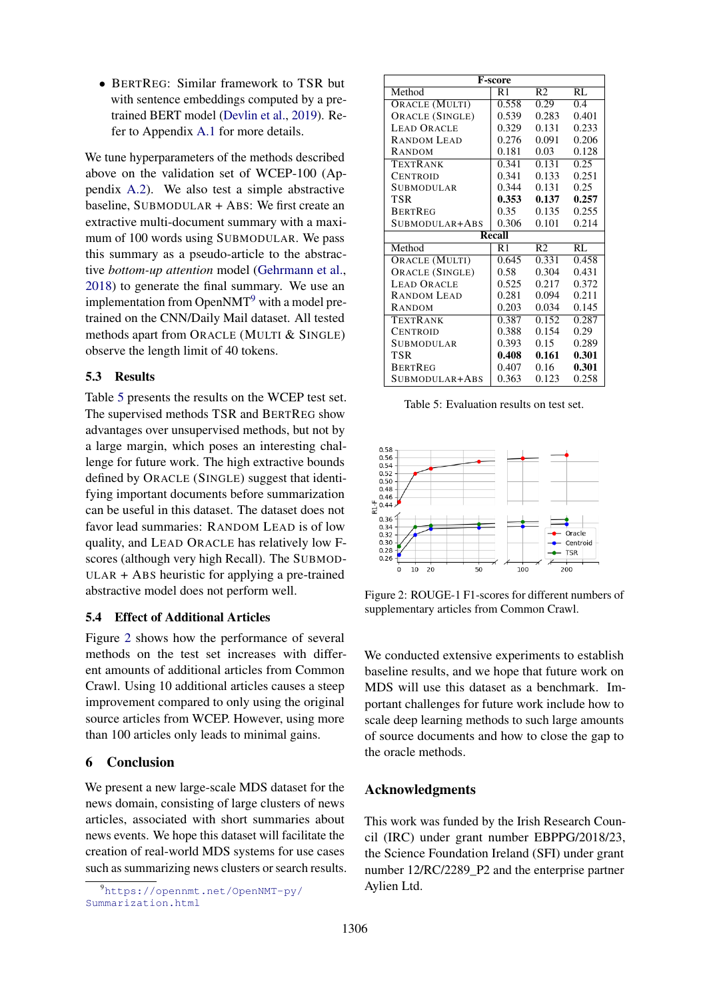• BERTREG: Similar framework to TSR but with sentence embeddings computed by a pretrained BERT model [\(Devlin et al.,](#page-5-1) [2019\)](#page-5-1). Refer to Appendix [A.1](#page-6-8) for more details.

We tune hyperparameters of the methods described above on the validation set of WCEP-100 (Appendix [A.2\)](#page-6-9). We also test a simple abstractive baseline, SUBMODULAR + ABS: We first create an extractive multi-document summary with a maximum of 100 words using SUBMODULAR. We pass this summary as a pseudo-article to the abstractive *bottom-up attention* model [\(Gehrmann et al.,](#page-5-19) [2018\)](#page-5-19) to generate the final summary. We use an implementation from Open $NMT<sup>9</sup>$  $NMT<sup>9</sup>$  $NMT<sup>9</sup>$  with a model pretrained on the CNN/Daily Mail dataset. All tested methods apart from ORACLE (MULTI & SINGLE) observe the length limit of 40 tokens.

## 5.3 Results

Table [5](#page-4-2) presents the results on the WCEP test set. The supervised methods TSR and BERTREG show advantages over unsupervised methods, but not by a large margin, which poses an interesting challenge for future work. The high extractive bounds defined by ORACLE (SINGLE) suggest that identifying important documents before summarization can be useful in this dataset. The dataset does not favor lead summaries: RANDOM LEAD is of low quality, and LEAD ORACLE has relatively low Fscores (although very high Recall). The SUBMOD-ULAR + ABS heuristic for applying a pre-trained abstractive model does not perform well.

## 5.4 Effect of Additional Articles

Figure [2](#page-4-0) shows how the performance of several methods on the test set increases with different amounts of additional articles from Common Crawl. Using 10 additional articles causes a steep improvement compared to only using the original source articles from WCEP. However, using more than 100 articles only leads to minimal gains.

# 6 Conclusion

We present a new large-scale MDS dataset for the news domain, consisting of large clusters of news articles, associated with short summaries about news events. We hope this dataset will facilitate the creation of real-world MDS systems for use cases such as summarizing news clusters or search results.

<span id="page-4-2"></span>

| <b>F-score</b>        |        |                    |       |  |  |  |
|-----------------------|--------|--------------------|-------|--|--|--|
| Method                | R1     | R <sub>2</sub>     | RL    |  |  |  |
| <b>ORACLE (MULTI)</b> | 0.558  | 0.29               | 0.4   |  |  |  |
| ORACLE (SINGLE)       | 0.539  | 0.283              | 0.401 |  |  |  |
| <b>LEAD ORACLE</b>    | 0.329  | 0.131              | 0.233 |  |  |  |
| <b>RANDOM LEAD</b>    | 0.276  | 0.091              | 0.206 |  |  |  |
| <b>RANDOM</b>         | 0.181  | 0.03               | 0.128 |  |  |  |
| <b>TEXTRANK</b>       | 0.341  | 0.131              | 0.25  |  |  |  |
| CENTROID              | 0.341  | 0.133              | 0.251 |  |  |  |
| SUBMODULAR            | 0.344  | 0.131              | 0.25  |  |  |  |
| TSR                   | 0.353  | 0.137              | 0.257 |  |  |  |
| <b>BERTREG</b>        | 0.35   | 0.135              | 0.255 |  |  |  |
| SUBMODULAR+ABS        | 0.306  | 0.101              | 0.214 |  |  |  |
|                       | Recall |                    |       |  |  |  |
| Method                | R1     | R <sub>2</sub>     | RL    |  |  |  |
| <b>ORACLE (MULTI)</b> | 0.645  | $\overline{0.331}$ | 0.458 |  |  |  |
| ORACLE (SINGLE)       | 0.58   | 0.304              | 0.431 |  |  |  |
| <b>LEAD ORACLE</b>    | 0.525  | 0.217              | 0.372 |  |  |  |
| <b>RANDOM LEAD</b>    | 0.281  | 0.094              | 0.211 |  |  |  |
| RANDOM                | 0.203  | 0.034              | 0.145 |  |  |  |
| TEXTRANK              | 0.387  | 0.152              | 0.287 |  |  |  |
| <b>CENTROID</b>       | 0.388  | 0.154              | 0.29  |  |  |  |
| SUBMODULAR            | 0.393  | 0.15               | 0.289 |  |  |  |
| TSR                   | 0.408  | 0.161              | 0.301 |  |  |  |
| <b>BERTREG</b>        | 0.407  | 0.16               | 0.301 |  |  |  |
| SUBMODULAR+ABS        | 0.363  | 0.123              | 0.258 |  |  |  |

Table 5: Evaluation results on test set.

<span id="page-4-0"></span>

Figure 2: ROUGE-1 F1-scores for different numbers of supplementary articles from Common Crawl.

We conducted extensive experiments to establish baseline results, and we hope that future work on MDS will use this dataset as a benchmark. Important challenges for future work include how to scale deep learning methods to such large amounts of source documents and how to close the gap to the oracle methods.

# Acknowledgments

This work was funded by the Irish Research Council (IRC) under grant number EBPPG/2018/23, the Science Foundation Ireland (SFI) under grant number 12/RC/2289\_P2 and the enterprise partner Aylien Ltd.

<span id="page-4-1"></span><sup>9</sup>[https://opennmt.net/OpenNMT-py/](https://opennmt.net/OpenNMT-py/Summarization.html) [Summarization.html](https://opennmt.net/OpenNMT-py/Summarization.html)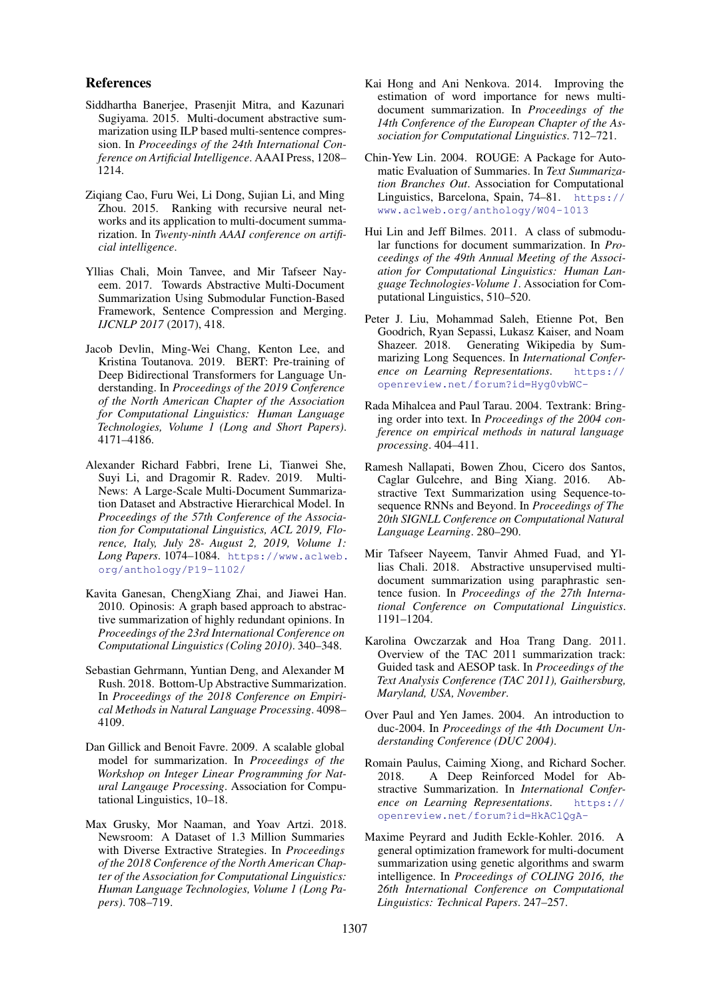#### References

- <span id="page-5-10"></span>Siddhartha Banerjee, Prasenjit Mitra, and Kazunari Sugiyama. 2015. Multi-document abstractive summarization using ILP based multi-sentence compression. In *Proceedings of the 24th International Conference on Artificial Intelligence*. AAAI Press, 1208– 1214.
- <span id="page-5-5"></span>Ziqiang Cao, Furu Wei, Li Dong, Sujian Li, and Ming Zhou. 2015. Ranking with recursive neural networks and its application to multi-document summarization. In *Twenty-ninth AAAI conference on artificial intelligence*.
- <span id="page-5-11"></span>Yllias Chali, Moin Tanvee, and Mir Tafseer Nayeem. 2017. Towards Abstractive Multi-Document Summarization Using Submodular Function-Based Framework, Sentence Compression and Merging. *IJCNLP 2017* (2017), 418.
- <span id="page-5-1"></span>Jacob Devlin, Ming-Wei Chang, Kenton Lee, and Kristina Toutanova. 2019. BERT: Pre-training of Deep Bidirectional Transformers for Language Understanding. In *Proceedings of the 2019 Conference of the North American Chapter of the Association for Computational Linguistics: Human Language Technologies, Volume 1 (Long and Short Papers)*. 4171–4186.
- <span id="page-5-3"></span>Alexander Richard Fabbri, Irene Li, Tianwei She, Suyi Li, and Dragomir R. Radev. 2019. Multi-News: A Large-Scale Multi-Document Summarization Dataset and Abstractive Hierarchical Model. In *Proceedings of the 57th Conference of the Association for Computational Linguistics, ACL 2019, Florence, Italy, July 28- August 2, 2019, Volume 1: Long Papers*. 1074–1084. [https://www.aclweb.](https://www.aclweb.org/anthology/P19-1102/) [org/anthology/P19-1102/](https://www.aclweb.org/anthology/P19-1102/)
- <span id="page-5-9"></span>Kavita Ganesan, ChengXiang Zhai, and Jiawei Han. 2010. Opinosis: A graph based approach to abstractive summarization of highly redundant opinions. In *Proceedings of the 23rd International Conference on Computational Linguistics (Coling 2010)*. 340–348.
- <span id="page-5-19"></span>Sebastian Gehrmann, Yuntian Deng, and Alexander M Rush. 2018. Bottom-Up Abstractive Summarization. In *Proceedings of the 2018 Conference on Empirical Methods in Natural Language Processing*. 4098– 4109.
- <span id="page-5-6"></span>Dan Gillick and Benoit Favre. 2009. A scalable global model for summarization. In *Proceedings of the Workshop on Integer Linear Programming for Natural Langauge Processing*. Association for Computational Linguistics, 10–18.
- <span id="page-5-16"></span>Max Grusky, Mor Naaman, and Yoav Artzi. 2018. Newsroom: A Dataset of 1.3 Million Summaries with Diverse Extractive Strategies. In *Proceedings of the 2018 Conference of the North American Chapter of the Association for Computational Linguistics: Human Language Technologies, Volume 1 (Long Papers)*. 708–719.
- <span id="page-5-4"></span>Kai Hong and Ani Nenkova. 2014. Improving the estimation of word importance for news multidocument summarization. In *Proceedings of the 14th Conference of the European Chapter of the Association for Computational Linguistics*. 712–721.
- <span id="page-5-17"></span>Chin-Yew Lin. 2004. ROUGE: A Package for Automatic Evaluation of Summaries. In *Text Summarization Branches Out*. Association for Computational Linguistics, Barcelona, Spain, 74–81. [https://](https://www.aclweb.org/anthology/W04-1013) [www.aclweb.org/anthology/W04-1013](https://www.aclweb.org/anthology/W04-1013)
- <span id="page-5-7"></span>Hui Lin and Jeff Bilmes. 2011. A class of submodular functions for document summarization. In *Proceedings of the 49th Annual Meeting of the Association for Computational Linguistics: Human Language Technologies-Volume 1*. Association for Computational Linguistics, 510–520.
- <span id="page-5-2"></span>Peter J. Liu, Mohammad Saleh, Etienne Pot, Ben Goodrich, Ryan Sepassi, Lukasz Kaiser, and Noam Shazeer. 2018. Generating Wikipedia by Summarizing Long Sequences. In *International Conference on Learning Representations*. [https://](https://openreview.net/forum?id=Hyg0vbWC-) [openreview.net/forum?id=Hyg0vbWC-](https://openreview.net/forum?id=Hyg0vbWC-)
- <span id="page-5-18"></span>Rada Mihalcea and Paul Tarau. 2004. Textrank: Bringing order into text. In *Proceedings of the 2004 conference on empirical methods in natural language processing*. 404–411.
- <span id="page-5-13"></span>Ramesh Nallapati, Bowen Zhou, Cicero dos Santos, Caglar Gulcehre, and Bing Xiang. 2016. Abstractive Text Summarization using Sequence-tosequence RNNs and Beyond. In *Proceedings of The 20th SIGNLL Conference on Computational Natural Language Learning*. 280–290.
- <span id="page-5-12"></span>Mir Tafseer Nayeem, Tanvir Ahmed Fuad, and Yllias Chali. 2018. Abstractive unsupervised multidocument summarization using paraphrastic sentence fusion. In *Proceedings of the 27th International Conference on Computational Linguistics*. 1191–1204.
- <span id="page-5-15"></span>Karolina Owczarzak and Hoa Trang Dang. 2011. Overview of the TAC 2011 summarization track: Guided task and AESOP task. In *Proceedings of the Text Analysis Conference (TAC 2011), Gaithersburg, Maryland, USA, November*.
- <span id="page-5-14"></span>Over Paul and Yen James. 2004. An introduction to duc-2004. In *Proceedings of the 4th Document Understanding Conference (DUC 2004)*.
- <span id="page-5-0"></span>Romain Paulus, Caiming Xiong, and Richard Socher. 2018. A Deep Reinforced Model for Abstractive Summarization. In *International Conference on Learning Representations*. [https://](https://openreview.net/forum?id=HkAClQgA-) [openreview.net/forum?id=HkAClQgA-](https://openreview.net/forum?id=HkAClQgA-)
- <span id="page-5-8"></span>Maxime Peyrard and Judith Eckle-Kohler. 2016. A general optimization framework for multi-document summarization using genetic algorithms and swarm intelligence. In *Proceedings of COLING 2016, the 26th International Conference on Computational Linguistics: Technical Papers*. 247–257.